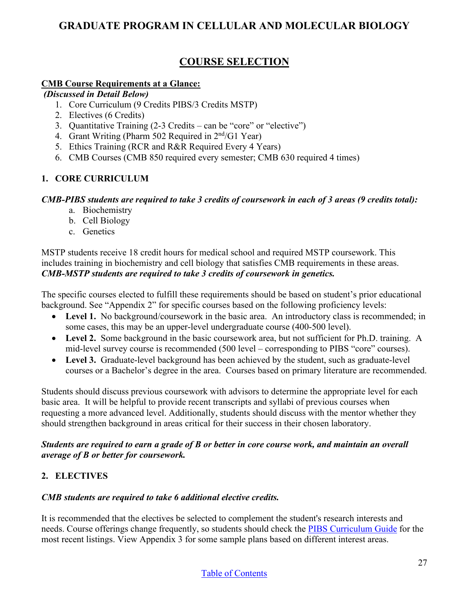# **GRADUATE PROGRAM IN CELLULAR AND MOLECULAR BIOLOGY**

# **COURSE SELECTION**

## **CMB Course Requirements at a Glance:**

#### *(Discussed in Detail Below)*

- 1. Core Curriculum (9 Credits PIBS/3 Credits MSTP)
- 2. Electives (6 Credits)
- 3. Quantitative Training (2-3 Credits can be "core" or "elective")
- 4. Grant Writing (Pharm 502 Required in  $2<sup>nd</sup>/G1$  Year)
- 5. Ethics Training (RCR and R&R Required Every 4 Years)
- 6. CMB Courses (CMB 850 required every semester; CMB 630 required 4 times)

# **1. CORE CURRICULUM**

### *CMB-PIBS students are required to take 3 credits of coursework in each of 3 areas (9 credits total):*

- a. Biochemistry
- b. Cell Biology
- c. Genetics

MSTP students receive 18 credit hours for medical school and required MSTP coursework. This includes training in biochemistry and cell biology that satisfies CMB requirements in these areas. *CMB-MSTP students are required to take 3 credits of coursework in genetics.* 

The specific courses elected to fulfill these requirements should be based on student's prior educational background. See "Appendix 2" for specific courses based on the following proficiency levels:

- Level 1. No background/coursework in the basic area. An introductory class is recommended; in some cases, this may be an upper-level undergraduate course (400-500 level).
- **Level 2.** Some background in the basic coursework area, but not sufficient for Ph.D. training. A mid-level survey course is recommended (500 level – corresponding to PIBS "core" courses).
- Level 3. Graduate-level background has been achieved by the student, such as graduate-level courses or a Bachelor's degree in the area. Courses based on primary literature are recommended.

Students should discuss previous coursework with advisors to determine the appropriate level for each basic area. It will be helpful to provide recent transcripts and syllabi of previous courses when requesting a more advanced level. Additionally, students should discuss with the mentor whether they should strengthen background in areas critical for their success in their chosen laboratory.

### *Students are required to earn a grade of B or better in core course work, and maintain an overall average of B or better for coursework.*

# **2. ELECTIVES**

## *CMB students are required to take 6 additional elective credits.*

It is recommended that the electives be selected to complement the student's research interests and needs. Course offerings change frequently, so students should check the [PIBS Curriculum Guide](https://medicine.umich.edu/medschool/education/phd-programs/about-pibs/pibs-curriculum) for the most recent listings. View Appendix 3 for some sample plans based on different interest areas.